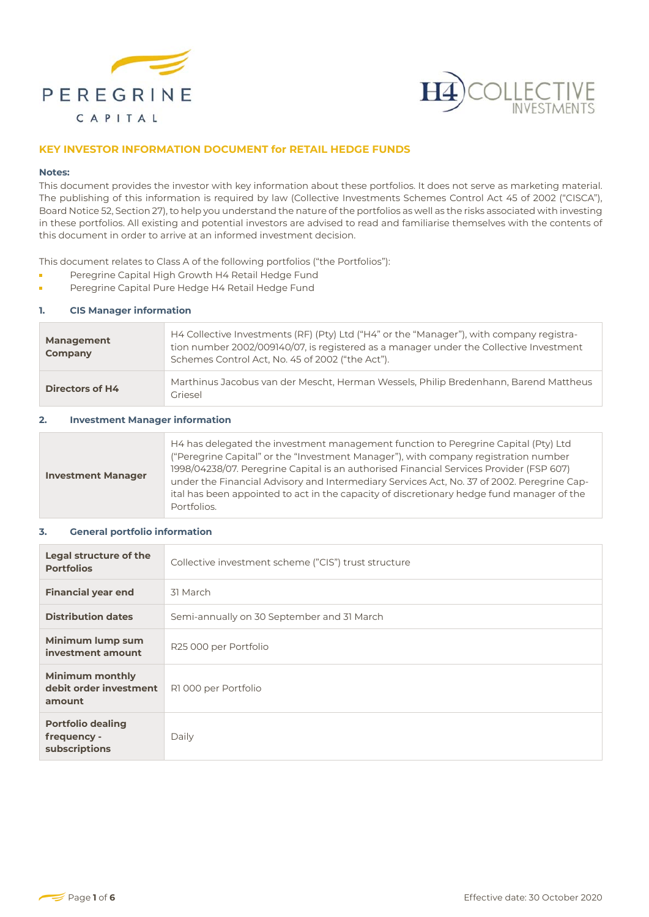



## **KEY INVESTOR INFORMATION DOCUMENT for RETAIL HEDGE FUNDS**

#### **Notes:**

This document provides the investor with key information about these portfolios. It does not serve as marketing material. The publishing of this information is required by law (Collective Investments Schemes Control Act 45 of 2002 ("CISCA"), Board Notice 52, Section 27), to help you understand the nature of the portfolios as well as the risks associated with investing in these portfolios. All existing and potential investors are advised to read and familiarise themselves with the contents of this document in order to arrive at an informed investment decision.

This document relates to Class A of the following portfolios ("the Portfolios"):

- Peregrine Capital High Growth H4 Retail Hedge Fund
- ř. Peregrine Capital Pure Hedge H4 Retail Hedge Fund

### **1. CIS Manager information**

| <b>Management</b><br>Company | H4 Collective Investments (RF) (Pty) Ltd ("H4" or the "Manager"), with company registra-<br>tion number 2002/009140/07, is registered as a manager under the Collective Investment<br>Schemes Control Act, No. 45 of 2002 ("the Act"). |
|------------------------------|----------------------------------------------------------------------------------------------------------------------------------------------------------------------------------------------------------------------------------------|
| <b>Directors of H4</b>       | Marthinus Jacobus van der Mescht, Herman Wessels, Philip Bredenhann, Barend Mattheus<br>Griesel                                                                                                                                        |

#### **2. Investment Manager information**

### **3. General portfolio information**

| Legal structure of the<br><b>Portfolios</b>                | Collective investment scheme ("CIS") trust structure |
|------------------------------------------------------------|------------------------------------------------------|
| <b>Financial year end</b>                                  | 31 March                                             |
| <b>Distribution dates</b>                                  | Semi-annually on 30 September and 31 March           |
| Minimum lump sum<br>investment amount                      | R25 000 per Portfolio                                |
| <b>Minimum monthly</b><br>debit order investment<br>amount | R1000 per Portfolio                                  |
| <b>Portfolio dealing</b><br>frequency -<br>subscriptions   | Daily                                                |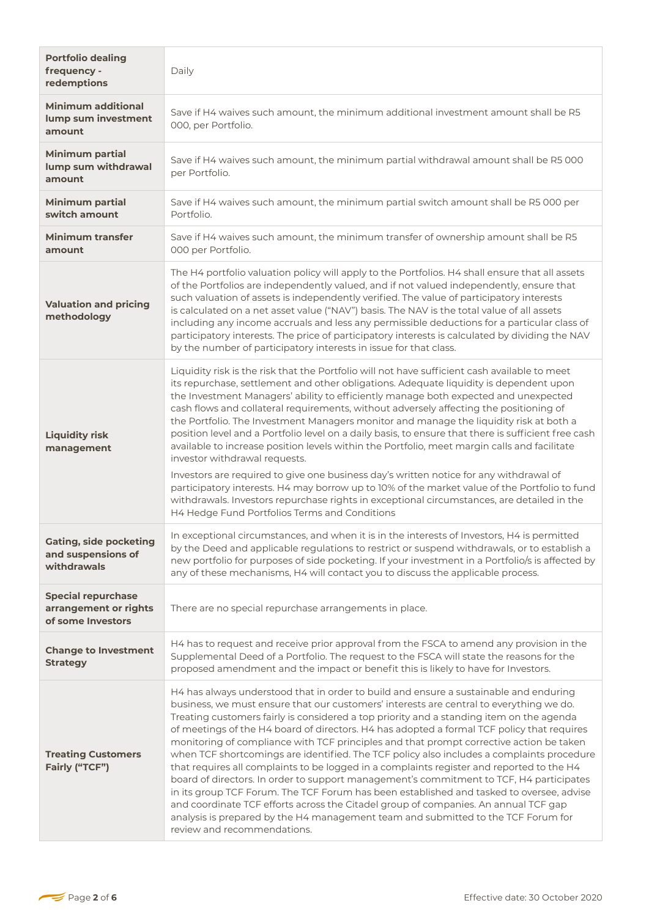| <b>Portfolio dealing</b><br>frequency -<br>redemptions                  | Daily                                                                                                                                                                                                                                                                                                                                                                                                                                                                                                                                                                                                                                                                                                                                                                                                                                                                                                                                                                                                                                                             |
|-------------------------------------------------------------------------|-------------------------------------------------------------------------------------------------------------------------------------------------------------------------------------------------------------------------------------------------------------------------------------------------------------------------------------------------------------------------------------------------------------------------------------------------------------------------------------------------------------------------------------------------------------------------------------------------------------------------------------------------------------------------------------------------------------------------------------------------------------------------------------------------------------------------------------------------------------------------------------------------------------------------------------------------------------------------------------------------------------------------------------------------------------------|
| <b>Minimum additional</b><br>lump sum investment<br>amount              | Save if H4 waives such amount, the minimum additional investment amount shall be R5<br>000, per Portfolio.                                                                                                                                                                                                                                                                                                                                                                                                                                                                                                                                                                                                                                                                                                                                                                                                                                                                                                                                                        |
| <b>Minimum partial</b><br>lump sum withdrawal<br>amount                 | Save if H4 waives such amount, the minimum partial withdrawal amount shall be R5 000<br>per Portfolio.                                                                                                                                                                                                                                                                                                                                                                                                                                                                                                                                                                                                                                                                                                                                                                                                                                                                                                                                                            |
| <b>Minimum partial</b><br>switch amount                                 | Save if H4 waives such amount, the minimum partial switch amount shall be R5 000 per<br>Portfolio.                                                                                                                                                                                                                                                                                                                                                                                                                                                                                                                                                                                                                                                                                                                                                                                                                                                                                                                                                                |
| <b>Minimum transfer</b><br>amount                                       | Save if H4 waives such amount, the minimum transfer of ownership amount shall be R5<br>000 per Portfolio.                                                                                                                                                                                                                                                                                                                                                                                                                                                                                                                                                                                                                                                                                                                                                                                                                                                                                                                                                         |
| <b>Valuation and pricing</b><br>methodology                             | The H4 portfolio valuation policy will apply to the Portfolios. H4 shall ensure that all assets<br>of the Portfolios are independently valued, and if not valued independently, ensure that<br>such valuation of assets is independently verified. The value of participatory interests<br>is calculated on a net asset value ("NAV") basis. The NAV is the total value of all assets<br>including any income accruals and less any permissible deductions for a particular class of<br>participatory interests. The price of participatory interests is calculated by dividing the NAV<br>by the number of participatory interests in issue for that class.                                                                                                                                                                                                                                                                                                                                                                                                      |
| <b>Liquidity risk</b><br>management                                     | Liquidity risk is the risk that the Portfolio will not have sufficient cash available to meet<br>its repurchase, settlement and other obligations. Adequate liquidity is dependent upon<br>the Investment Managers' ability to efficiently manage both expected and unexpected<br>cash flows and collateral requirements, without adversely affecting the positioning of<br>the Portfolio. The Investment Managers monitor and manage the liquidity risk at both a<br>position level and a Portfolio level on a daily basis, to ensure that there is sufficient free cash<br>available to increase position levels within the Portfolio, meet margin calls and facilitate<br>investor withdrawal requests.<br>Investors are required to give one business day's written notice for any withdrawal of<br>participatory interests. H4 may borrow up to 10% of the market value of the Portfolio to fund<br>withdrawals. Investors repurchase rights in exceptional circumstances, are detailed in the<br>H4 Hedge Fund Portfolios Terms and Conditions              |
| <b>Gating, side pocketing</b><br>and suspensions of<br>withdrawals      | In exceptional circumstances, and when it is in the interests of Investors, H4 is permitted<br>by the Deed and applicable regulations to restrict or suspend withdrawals, or to establish a<br>new portfolio for purposes of side pocketing. If your investment in a Portfolio/s is affected by<br>any of these mechanisms, H4 will contact you to discuss the applicable process.                                                                                                                                                                                                                                                                                                                                                                                                                                                                                                                                                                                                                                                                                |
| <b>Special repurchase</b><br>arrangement or rights<br>of some Investors | There are no special repurchase arrangements in place.                                                                                                                                                                                                                                                                                                                                                                                                                                                                                                                                                                                                                                                                                                                                                                                                                                                                                                                                                                                                            |
| <b>Change to Investment</b><br><b>Strategy</b>                          | H4 has to request and receive prior approval from the FSCA to amend any provision in the<br>Supplemental Deed of a Portfolio. The request to the FSCA will state the reasons for the<br>proposed amendment and the impact or benefit this is likely to have for Investors.                                                                                                                                                                                                                                                                                                                                                                                                                                                                                                                                                                                                                                                                                                                                                                                        |
| <b>Treating Customers</b><br>Fairly ("TCF")                             | H4 has always understood that in order to build and ensure a sustainable and enduring<br>business, we must ensure that our customers' interests are central to everything we do.<br>Treating customers fairly is considered a top priority and a standing item on the agenda<br>of meetings of the H4 board of directors. H4 has adopted a formal TCF policy that requires<br>monitoring of compliance with TCF principles and that prompt corrective action be taken<br>when TCF shortcomings are identified. The TCF policy also includes a complaints procedure<br>that requires all complaints to be logged in a complaints register and reported to the H4<br>board of directors. In order to support management's commitment to TCF, H4 participates<br>in its group TCF Forum. The TCF Forum has been established and tasked to oversee, advise<br>and coordinate TCF efforts across the Citadel group of companies. An annual TCF gap<br>analysis is prepared by the H4 management team and submitted to the TCF Forum for<br>review and recommendations. |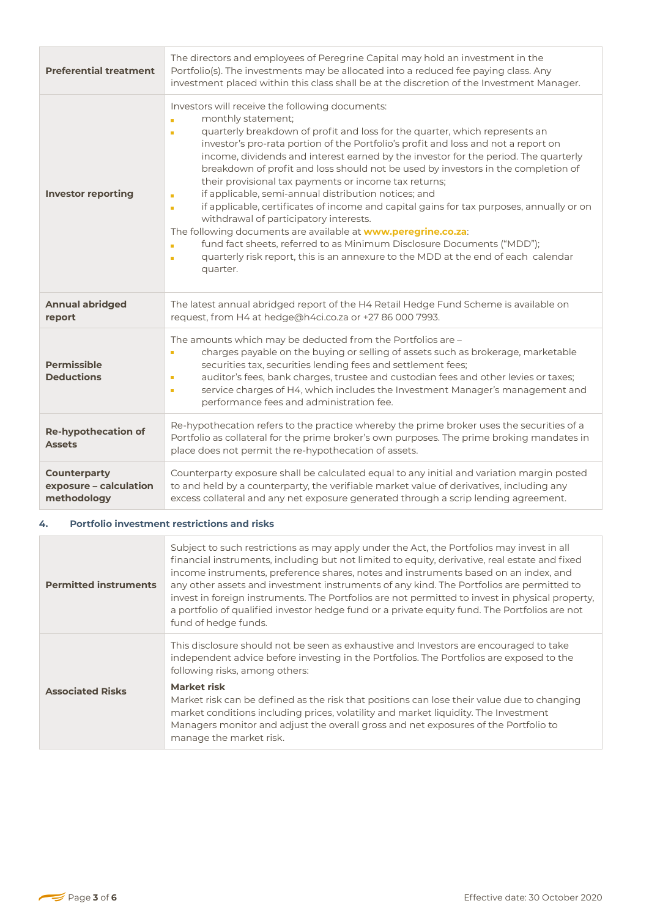| <b>Preferential treatment</b>                                | The directors and employees of Peregrine Capital may hold an investment in the<br>Portfolio(s). The investments may be allocated into a reduced fee paying class. Any<br>investment placed within this class shall be at the discretion of the Investment Manager.                                                                                                                                                                                                                                                                                                                                                                                                                                                                                                                                                                                                                                                                                                    |
|--------------------------------------------------------------|-----------------------------------------------------------------------------------------------------------------------------------------------------------------------------------------------------------------------------------------------------------------------------------------------------------------------------------------------------------------------------------------------------------------------------------------------------------------------------------------------------------------------------------------------------------------------------------------------------------------------------------------------------------------------------------------------------------------------------------------------------------------------------------------------------------------------------------------------------------------------------------------------------------------------------------------------------------------------|
| <b>Investor reporting</b>                                    | Investors will receive the following documents:<br>monthly statement;<br>'n<br>quarterly breakdown of profit and loss for the quarter, which represents an<br>n<br>investor's pro-rata portion of the Portfolio's profit and loss and not a report on<br>income, dividends and interest earned by the investor for the period. The quarterly<br>breakdown of profit and loss should not be used by investors in the completion of<br>their provisional tax payments or income tax returns;<br>if applicable, semi-annual distribution notices; and<br>п<br>if applicable, certificates of income and capital gains for tax purposes, annually or on<br>$\blacksquare$<br>withdrawal of participatory interests.<br>The following documents are available at www.peregrine.co.za:<br>fund fact sheets, referred to as Minimum Disclosure Documents ("MDD");<br>n<br>quarterly risk report, this is an annexure to the MDD at the end of each calendar<br>п<br>quarter. |
| <b>Annual abridged</b><br>report                             | The latest annual abridged report of the H4 Retail Hedge Fund Scheme is available on<br>request, from H4 at hedge@h4ci.co.za or +27 86 000 7993.                                                                                                                                                                                                                                                                                                                                                                                                                                                                                                                                                                                                                                                                                                                                                                                                                      |
| <b>Permissible</b><br><b>Deductions</b>                      | The amounts which may be deducted from the Portfolios are -<br>charges payable on the buying or selling of assets such as brokerage, marketable<br>Ē,<br>securities tax, securities lending fees and settlement fees;<br>auditor's fees, bank charges, trustee and custodian fees and other levies or taxes;<br>Ē,<br>service charges of H4, which includes the Investment Manager's management and<br>п<br>performance fees and administration fee.                                                                                                                                                                                                                                                                                                                                                                                                                                                                                                                  |
| <b>Re-hypothecation of</b><br><b>Assets</b>                  | Re-hypothecation refers to the practice whereby the prime broker uses the securities of a<br>Portfolio as collateral for the prime broker's own purposes. The prime broking mandates in<br>place does not permit the re-hypothecation of assets.                                                                                                                                                                                                                                                                                                                                                                                                                                                                                                                                                                                                                                                                                                                      |
| <b>Counterparty</b><br>exposure - calculation<br>methodology | Counterparty exposure shall be calculated equal to any initial and variation margin posted<br>to and held by a counterparty, the verifiable market value of derivatives, including any<br>excess collateral and any net exposure generated through a scrip lending agreement.                                                                                                                                                                                                                                                                                                                                                                                                                                                                                                                                                                                                                                                                                         |

## **4. Portfolio investment restrictions and risks**

| <b>Permitted instruments</b> | Subject to such restrictions as may apply under the Act, the Portfolios may invest in all<br>financial instruments, including but not limited to equity, derivative, real estate and fixed<br>income instruments, preference shares, notes and instruments based on an index, and<br>any other assets and investment instruments of any kind. The Portfolios are permitted to<br>invest in foreign instruments. The Portfolios are not permitted to invest in physical property,<br>a portfolio of qualified investor hedge fund or a private equity fund. The Portfolios are not<br>fund of hedge funds. |
|------------------------------|-----------------------------------------------------------------------------------------------------------------------------------------------------------------------------------------------------------------------------------------------------------------------------------------------------------------------------------------------------------------------------------------------------------------------------------------------------------------------------------------------------------------------------------------------------------------------------------------------------------|
| <b>Associated Risks</b>      | This disclosure should not be seen as exhaustive and Investors are encouraged to take<br>independent advice before investing in the Portfolios. The Portfolios are exposed to the<br>following risks, among others:                                                                                                                                                                                                                                                                                                                                                                                       |
|                              | Market risk<br>Market risk can be defined as the risk that positions can lose their value due to changing<br>market conditions including prices, volatility and market liquidity. The Investment<br>Managers monitor and adjust the overall gross and net exposures of the Portfolio to<br>manage the market risk.                                                                                                                                                                                                                                                                                        |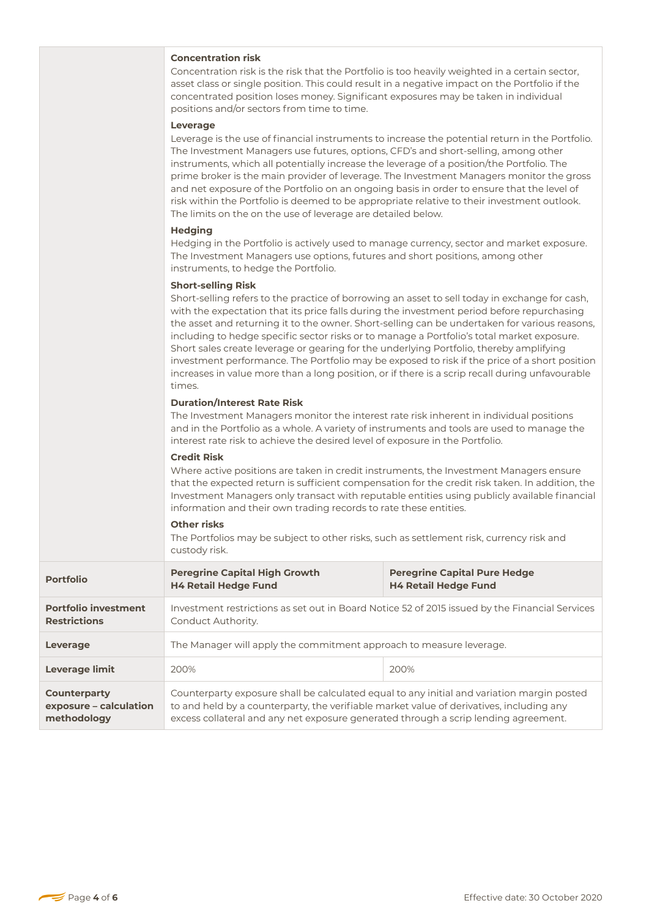### **Concentration risk**

Concentration risk is the risk that the Portfolio is too heavily weighted in a certain sector, asset class or single position. This could result in a negative impact on the Portfolio if the concentrated position loses money. Significant exposures may be taken in individual positions and/or sectors from time to time.

#### **Leverage**

Leverage is the use of financial instruments to increase the potential return in the Portfolio. The Investment Managers use futures, options, CFD's and short-selling, among other instruments, which all potentially increase the leverage of a position/the Portfolio. The prime broker is the main provider of leverage. The Investment Managers monitor the gross and net exposure of the Portfolio on an ongoing basis in order to ensure that the level of risk within the Portfolio is deemed to be appropriate relative to their investment outlook. The limits on the on the use of leverage are detailed below.

#### **Hedging**

Hedging in the Portfolio is actively used to manage currency, sector and market exposure. The Investment Managers use options, futures and short positions, among other instruments, to hedge the Portfolio.

#### **Short-selling Risk**

Short-selling refers to the practice of borrowing an asset to sell today in exchange for cash, with the expectation that its price falls during the investment period before repurchasing the asset and returning it to the owner. Short-selling can be undertaken for various reasons, including to hedge specific sector risks or to manage a Portfolio's total market exposure. Short sales create leverage or gearing for the underlying Portfolio, thereby amplifying investment performance. The Portfolio may be exposed to risk if the price of a short position increases in value more than a long position, or if there is a scrip recall during unfavourable times.

#### **Duration/Interest Rate Risk**

The Investment Managers monitor the interest rate risk inherent in individual positions and in the Portfolio as a whole. A variety of instruments and tools are used to manage the interest rate risk to achieve the desired level of exposure in the Portfolio.

#### **Credit Risk**

Where active positions are taken in credit instruments, the Investment Managers ensure that the expected return is sufficient compensation for the credit risk taken. In addition, the Investment Managers only transact with reputable entities using publicly available financial information and their own trading records to rate these entities.

#### **Other risks**

The Portfolios may be subject to other risks, such as settlement risk, currency risk and custody risk.

| <b>Portfolio</b>                                      | <b>Peregrine Capital High Growth</b><br><b>H4 Retail Hedge Fund</b>                                                                                                                                                                                                           | <b>Peregrine Capital Pure Hedge</b><br><b>H4 Retail Hedge Fund</b>                             |
|-------------------------------------------------------|-------------------------------------------------------------------------------------------------------------------------------------------------------------------------------------------------------------------------------------------------------------------------------|------------------------------------------------------------------------------------------------|
| <b>Portfolio investment</b><br><b>Restrictions</b>    | Conduct Authority.                                                                                                                                                                                                                                                            | Investment restrictions as set out in Board Notice 52 of 2015 issued by the Financial Services |
| Leverage                                              | The Manager will apply the commitment approach to measure leverage.                                                                                                                                                                                                           |                                                                                                |
| Leverage limit                                        | 200%                                                                                                                                                                                                                                                                          | 200%                                                                                           |
| Counterparty<br>exposure – calculation<br>methodology | Counterparty exposure shall be calculated equal to any initial and variation margin posted<br>to and held by a counterparty, the verifiable market value of derivatives, including any<br>excess collateral and any net exposure generated through a scrip lending agreement. |                                                                                                |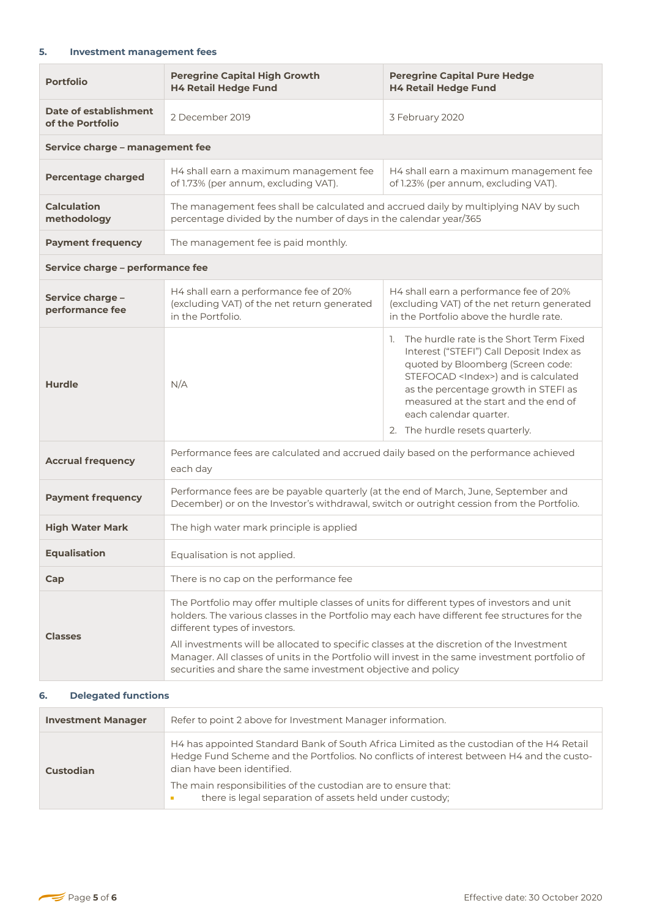## **5. Investment management fees**

| <b>Portfolio</b>                          | <b>Peregrine Capital High Growth</b><br><b>H4 Retail Hedge Fund</b>                                                                                                                                                                                                                                                                                                                                                                                                                          | <b>Peregrine Capital Pure Hedge</b><br><b>H4 Retail Hedge Fund</b>                                                                                                                                                                                                                                                          |
|-------------------------------------------|----------------------------------------------------------------------------------------------------------------------------------------------------------------------------------------------------------------------------------------------------------------------------------------------------------------------------------------------------------------------------------------------------------------------------------------------------------------------------------------------|-----------------------------------------------------------------------------------------------------------------------------------------------------------------------------------------------------------------------------------------------------------------------------------------------------------------------------|
| Date of establishment<br>of the Portfolio | 2 December 2019                                                                                                                                                                                                                                                                                                                                                                                                                                                                              | 3 February 2020                                                                                                                                                                                                                                                                                                             |
| Service charge - management fee           |                                                                                                                                                                                                                                                                                                                                                                                                                                                                                              |                                                                                                                                                                                                                                                                                                                             |
| <b>Percentage charged</b>                 | H4 shall earn a maximum management fee<br>of 1.73% (per annum, excluding VAT).                                                                                                                                                                                                                                                                                                                                                                                                               | H4 shall earn a maximum management fee<br>of 1.23% (per annum, excluding VAT).                                                                                                                                                                                                                                              |
| <b>Calculation</b><br>methodology         | The management fees shall be calculated and accrued daily by multiplying NAV by such<br>percentage divided by the number of days in the calendar year/365                                                                                                                                                                                                                                                                                                                                    |                                                                                                                                                                                                                                                                                                                             |
| <b>Payment frequency</b>                  | The management fee is paid monthly.                                                                                                                                                                                                                                                                                                                                                                                                                                                          |                                                                                                                                                                                                                                                                                                                             |
| Service charge - performance fee          |                                                                                                                                                                                                                                                                                                                                                                                                                                                                                              |                                                                                                                                                                                                                                                                                                                             |
| Service charge -<br>performance fee       | H4 shall earn a performance fee of 20%<br>(excluding VAT) of the net return generated<br>in the Portfolio.                                                                                                                                                                                                                                                                                                                                                                                   | H4 shall earn a performance fee of 20%<br>(excluding VAT) of the net return generated<br>in the Portfolio above the hurdle rate.                                                                                                                                                                                            |
| Hurdle                                    | N/A                                                                                                                                                                                                                                                                                                                                                                                                                                                                                          | 1. The hurdle rate is the Short Term Fixed<br>Interest ("STEFI") Call Deposit Index as<br>quoted by Bloomberg (Screen code:<br>STEFOCAD <index>) and is calculated<br/>as the percentage growth in STEFI as<br/>measured at the start and the end of<br/>each calendar quarter.<br/>2. The hurdle resets quarterly.</index> |
| <b>Accrual frequency</b>                  | Performance fees are calculated and accrued daily based on the performance achieved<br>each day                                                                                                                                                                                                                                                                                                                                                                                              |                                                                                                                                                                                                                                                                                                                             |
| <b>Payment frequency</b>                  | Performance fees are be payable quarterly (at the end of March, June, September and<br>December) or on the Investor's withdrawal, switch or outright cession from the Portfolio.                                                                                                                                                                                                                                                                                                             |                                                                                                                                                                                                                                                                                                                             |
| <b>High Water Mark</b>                    | The high water mark principle is applied                                                                                                                                                                                                                                                                                                                                                                                                                                                     |                                                                                                                                                                                                                                                                                                                             |
| <b>Equalisation</b>                       | Equalisation is not applied.                                                                                                                                                                                                                                                                                                                                                                                                                                                                 |                                                                                                                                                                                                                                                                                                                             |
| Cap                                       | There is no cap on the performance fee                                                                                                                                                                                                                                                                                                                                                                                                                                                       |                                                                                                                                                                                                                                                                                                                             |
| <b>Classes</b>                            | The Portfolio may offer multiple classes of units for different types of investors and unit<br>holders. The various classes in the Portfolio may each have different fee structures for the<br>different types of investors.<br>All investments will be allocated to specific classes at the discretion of the Investment<br>Manager. All classes of units in the Portfolio will invest in the same investment portfolio of<br>securities and share the same investment objective and policy |                                                                                                                                                                                                                                                                                                                             |

## **6. Delegated functions**

| <b>Investment Manager</b> | Refer to point 2 above for Investment Manager information.                                                                                                                                                         |
|---------------------------|--------------------------------------------------------------------------------------------------------------------------------------------------------------------------------------------------------------------|
| Custodian                 | H4 has appointed Standard Bank of South Africa Limited as the custodian of the H4 Retail<br>Hedge Fund Scheme and the Portfolios. No conflicts of interest between H4 and the custo-<br>dian have been identified. |
|                           | The main responsibilities of the custodian are to ensure that:<br>there is legal separation of assets held under custody;                                                                                          |